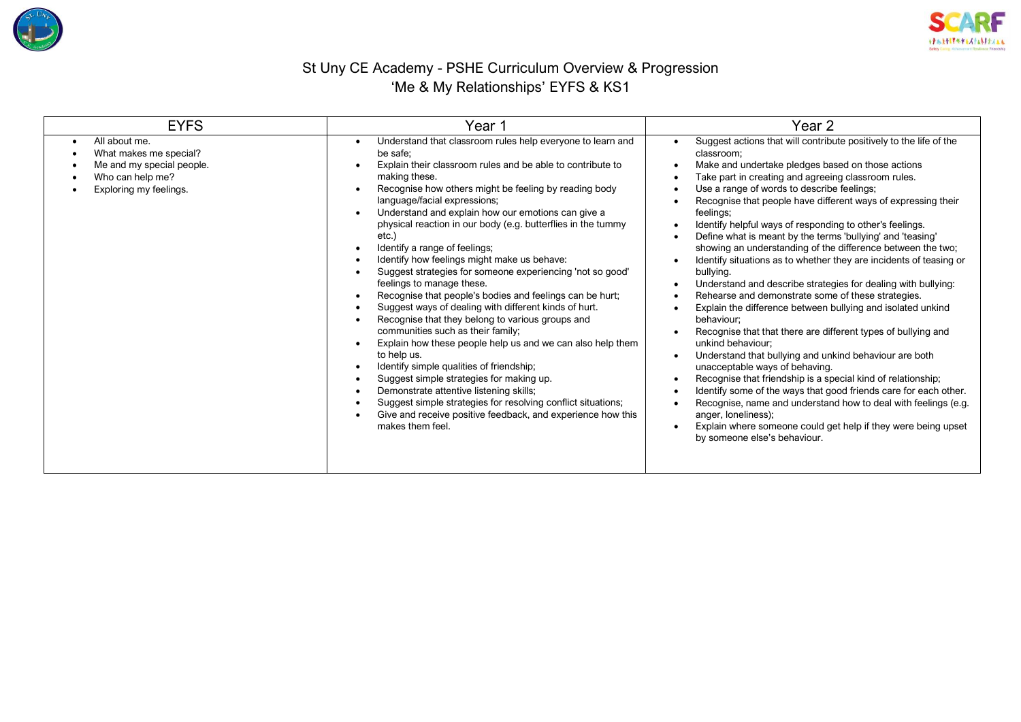



## St Uny CE Academy - PSHE Curriculum Overview & Progression 'Me & My Relationships' EYFS & KS1

| <b>EYFS</b>                                                                                                                     | Year 1                                                                                                                                                                                                                                                                                                                                                                                                                                                                                                                                                                                                                                                                                                                                                                                                                                                                                                                                                                                                                                                                                                                                   | Year 2                                                                                                                                                                                                                                                                                                                                                                                                                                                                                                                                                                                                                                                                                                                                                                                                                                                                                                                                                                                                                                                                                                                                                                                                                                                                                                                   |  |  |
|---------------------------------------------------------------------------------------------------------------------------------|------------------------------------------------------------------------------------------------------------------------------------------------------------------------------------------------------------------------------------------------------------------------------------------------------------------------------------------------------------------------------------------------------------------------------------------------------------------------------------------------------------------------------------------------------------------------------------------------------------------------------------------------------------------------------------------------------------------------------------------------------------------------------------------------------------------------------------------------------------------------------------------------------------------------------------------------------------------------------------------------------------------------------------------------------------------------------------------------------------------------------------------|--------------------------------------------------------------------------------------------------------------------------------------------------------------------------------------------------------------------------------------------------------------------------------------------------------------------------------------------------------------------------------------------------------------------------------------------------------------------------------------------------------------------------------------------------------------------------------------------------------------------------------------------------------------------------------------------------------------------------------------------------------------------------------------------------------------------------------------------------------------------------------------------------------------------------------------------------------------------------------------------------------------------------------------------------------------------------------------------------------------------------------------------------------------------------------------------------------------------------------------------------------------------------------------------------------------------------|--|--|
| All about me.<br>$\bullet$<br>What makes me special?<br>Me and my special people.<br>Who can help me?<br>Exploring my feelings. | Understand that classroom rules help everyone to learn and<br>be safe:<br>Explain their classroom rules and be able to contribute to<br>making these.<br>Recognise how others might be feeling by reading body<br>language/facial expressions;<br>Understand and explain how our emotions can give a<br>physical reaction in our body (e.g. butterflies in the tummy<br>etc.)<br>Identify a range of feelings;<br>Identify how feelings might make us behave:<br>Suggest strategies for someone experiencing 'not so good'<br>feelings to manage these.<br>Recognise that people's bodies and feelings can be hurt;<br>Suggest ways of dealing with different kinds of hurt.<br>Recognise that they belong to various groups and<br>communities such as their family;<br>Explain how these people help us and we can also help them<br>to help us.<br>Identify simple qualities of friendship;<br>Suggest simple strategies for making up.<br>Demonstrate attentive listening skills;<br>Suggest simple strategies for resolving conflict situations;<br>Give and receive positive feedback, and experience how this<br>makes them feel. | Suggest actions that will contribute positively to the life of the<br>classroom;<br>Make and undertake pledges based on those actions<br>Take part in creating and agreeing classroom rules.<br>Use a range of words to describe feelings;<br>Recognise that people have different ways of expressing their<br>feelings;<br>Identify helpful ways of responding to other's feelings.<br>Define what is meant by the terms 'bullying' and 'teasing'<br>showing an understanding of the difference between the two;<br>Identify situations as to whether they are incidents of teasing or<br>bullying.<br>Understand and describe strategies for dealing with bullying:<br>Rehearse and demonstrate some of these strategies.<br>Explain the difference between bullying and isolated unkind<br>behaviour:<br>Recognise that that there are different types of bullying and<br>unkind behaviour;<br>Understand that bullying and unkind behaviour are both<br>unacceptable ways of behaving.<br>Recognise that friendship is a special kind of relationship;<br>Identify some of the ways that good friends care for each other.<br>Recognise, name and understand how to deal with feelings (e.g.<br>anger, loneliness);<br>Explain where someone could get help if they were being upset<br>by someone else's behaviour. |  |  |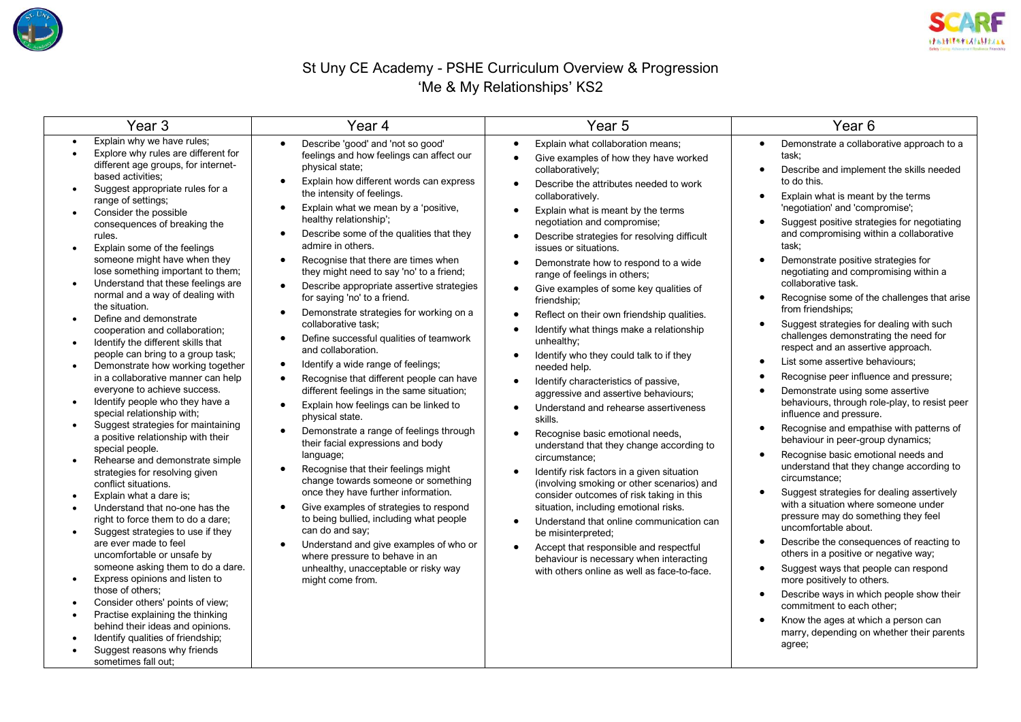



## St Uny CE Academy - PSHE Curriculum Overview & Progression 'Me & My Relationships' KS2

| Year <sub>3</sub><br>Year 4                                                                                                                                                                                                                                                                                                                                                                                                                                                                                                                                                                                                                                                                                                                                                                                                                                                                                                                                                                                                                                                                                                                                                                                                                                                                                                                                                                |                                                                                                                                                                                                                                                                                                                                                                                                                                                                                                                                                                                                                                                                                                                                                                                                                                                                                                                                                                                                                                                                                                                                                                                                                                                                                                                                                                                                                                                                                 | Year <sub>5</sub>                                                                                                                                                                                                                                                                                                                                                                                                                                                                                                                                                                                                                                                                                                                                                                                                                                                                                                                                                                                                                                                                                                                                                                                                                                                                                                                                                                                     | Year <sub>6</sub>                                                                                                                                                                                                                                                                                                                                                                                                                                                                                                                                                                                                                                                                                                                                                                                                                                                                                                                                                                                                                                                                                                                                                                                                                                                                                                                                                                                                                                                                                                                                         |  |
|--------------------------------------------------------------------------------------------------------------------------------------------------------------------------------------------------------------------------------------------------------------------------------------------------------------------------------------------------------------------------------------------------------------------------------------------------------------------------------------------------------------------------------------------------------------------------------------------------------------------------------------------------------------------------------------------------------------------------------------------------------------------------------------------------------------------------------------------------------------------------------------------------------------------------------------------------------------------------------------------------------------------------------------------------------------------------------------------------------------------------------------------------------------------------------------------------------------------------------------------------------------------------------------------------------------------------------------------------------------------------------------------|---------------------------------------------------------------------------------------------------------------------------------------------------------------------------------------------------------------------------------------------------------------------------------------------------------------------------------------------------------------------------------------------------------------------------------------------------------------------------------------------------------------------------------------------------------------------------------------------------------------------------------------------------------------------------------------------------------------------------------------------------------------------------------------------------------------------------------------------------------------------------------------------------------------------------------------------------------------------------------------------------------------------------------------------------------------------------------------------------------------------------------------------------------------------------------------------------------------------------------------------------------------------------------------------------------------------------------------------------------------------------------------------------------------------------------------------------------------------------------|-------------------------------------------------------------------------------------------------------------------------------------------------------------------------------------------------------------------------------------------------------------------------------------------------------------------------------------------------------------------------------------------------------------------------------------------------------------------------------------------------------------------------------------------------------------------------------------------------------------------------------------------------------------------------------------------------------------------------------------------------------------------------------------------------------------------------------------------------------------------------------------------------------------------------------------------------------------------------------------------------------------------------------------------------------------------------------------------------------------------------------------------------------------------------------------------------------------------------------------------------------------------------------------------------------------------------------------------------------------------------------------------------------|-----------------------------------------------------------------------------------------------------------------------------------------------------------------------------------------------------------------------------------------------------------------------------------------------------------------------------------------------------------------------------------------------------------------------------------------------------------------------------------------------------------------------------------------------------------------------------------------------------------------------------------------------------------------------------------------------------------------------------------------------------------------------------------------------------------------------------------------------------------------------------------------------------------------------------------------------------------------------------------------------------------------------------------------------------------------------------------------------------------------------------------------------------------------------------------------------------------------------------------------------------------------------------------------------------------------------------------------------------------------------------------------------------------------------------------------------------------------------------------------------------------------------------------------------------------|--|
| Explain why we have rules;<br>Explore why rules are different for<br>different age groups, for internet-<br>based activities;<br>Suggest appropriate rules for a<br>range of settings;<br>Consider the possible<br>consequences of breaking the<br>rules.<br>Explain some of the feelings<br>someone might have when they<br>lose something important to them;<br>Understand that these feelings are<br>normal and a way of dealing with<br>the situation.<br>Define and demonstrate<br>cooperation and collaboration;<br>Identify the different skills that<br>$\bullet$<br>people can bring to a group task;<br>Demonstrate how working together<br>in a collaborative manner can help<br>everyone to achieve success.<br>Identify people who they have a<br>special relationship with;<br>Suggest strategies for maintaining<br>a positive relationship with their<br>special people.<br>Rehearse and demonstrate simple<br>strategies for resolving given<br>conflict situations.<br>Explain what a dare is;<br>Understand that no-one has the<br>right to force them to do a dare;<br>Suggest strategies to use if they<br>are ever made to feel<br>uncomfortable or unsafe by<br>someone asking them to do a dare.<br>Express opinions and listen to<br>those of others:<br>Consider others' points of view;<br>Practise explaining the thinking<br>behind their ideas and opinions. | Describe 'good' and 'not so good'<br>$\bullet$<br>feelings and how feelings can affect our<br>physical state;<br>Explain how different words can express<br>$\bullet$<br>the intensity of feelings.<br>Explain what we mean by a 'positive,<br>$\bullet$<br>healthy relationship';<br>Describe some of the qualities that they<br>$\bullet$<br>admire in others.<br>Recognise that there are times when<br>$\bullet$<br>they might need to say 'no' to a friend;<br>Describe appropriate assertive strategies<br>$\bullet$<br>for saying 'no' to a friend.<br>Demonstrate strategies for working on a<br>$\bullet$<br>collaborative task:<br>Define successful qualities of teamwork<br>$\bullet$<br>and collaboration.<br>Identify a wide range of feelings;<br>$\bullet$<br>Recognise that different people can have<br>$\bullet$<br>different feelings in the same situation;<br>Explain how feelings can be linked to<br>$\bullet$<br>physical state.<br>Demonstrate a range of feelings through<br>$\bullet$<br>their facial expressions and body<br>language;<br>Recognise that their feelings might<br>$\bullet$<br>change towards someone or something<br>once they have further information.<br>Give examples of strategies to respond<br>$\bullet$<br>to being bullied, including what people<br>can do and say;<br>Understand and give examples of who or<br>$\bullet$<br>where pressure to behave in an<br>unhealthy, unacceptable or risky way<br>might come from. | Explain what collaboration means;<br>$\bullet$<br>Give examples of how they have worked<br>$\bullet$<br>collaboratively;<br>Describe the attributes needed to work<br>$\bullet$<br>collaboratively.<br>Explain what is meant by the terms<br>$\bullet$<br>negotiation and compromise;<br>Describe strategies for resolving difficult<br>$\bullet$<br>issues or situations.<br>Demonstrate how to respond to a wide<br>$\bullet$<br>range of feelings in others;<br>Give examples of some key qualities of<br>friendship;<br>Reflect on their own friendship qualities.<br>$\bullet$<br>Identify what things make a relationship<br>unhealthy;<br>Identify who they could talk to if they<br>needed help.<br>Identify characteristics of passive,<br>$\bullet$<br>aggressive and assertive behaviours;<br>Understand and rehearse assertiveness<br>$\bullet$<br>skills.<br>Recognise basic emotional needs,<br>understand that they change according to<br>circumstance;<br>Identify risk factors in a given situation<br>$\bullet$<br>(involving smoking or other scenarios) and<br>consider outcomes of risk taking in this<br>situation, including emotional risks.<br>Understand that online communication can<br>$\bullet$<br>be misinterpreted;<br>Accept that responsible and respectful<br>$\bullet$<br>behaviour is necessary when interacting<br>with others online as well as face-to-face. | Demonstrate a collaborative approach to a<br>$\bullet$<br>task;<br>Describe and implement the skills needed<br>$\bullet$<br>to do this.<br>Explain what is meant by the terms<br>$\bullet$<br>'negotiation' and 'compromise';<br>Suggest positive strategies for negotiating<br>$\bullet$<br>and compromising within a collaborative<br>task;<br>Demonstrate positive strategies for<br>negotiating and compromising within a<br>collaborative task.<br>Recognise some of the challenges that arise<br>from friendships;<br>Suggest strategies for dealing with such<br>challenges demonstrating the need for<br>respect and an assertive approach.<br>List some assertive behaviours;<br>Recognise peer influence and pressure;<br>Demonstrate using some assertive<br>behaviours, through role-play, to resist peer<br>influence and pressure.<br>Recognise and empathise with patterns of<br>$\bullet$<br>behaviour in peer-group dynamics;<br>Recognise basic emotional needs and<br>understand that they change according to<br>circumstance;<br>Suggest strategies for dealing assertively<br>with a situation where someone under<br>pressure may do something they feel<br>uncomfortable about.<br>Describe the consequences of reacting to<br>others in a positive or negative way;<br>Suggest ways that people can respond<br>more positively to others.<br>Describe ways in which people show their<br>$\bullet$<br>commitment to each other;<br>Know the ages at which a person can<br>$\bullet$<br>marry, depending on whether their parents |  |
| Identify qualities of friendship;<br>Suggest reasons why friends<br>sometimes fall out;                                                                                                                                                                                                                                                                                                                                                                                                                                                                                                                                                                                                                                                                                                                                                                                                                                                                                                                                                                                                                                                                                                                                                                                                                                                                                                    |                                                                                                                                                                                                                                                                                                                                                                                                                                                                                                                                                                                                                                                                                                                                                                                                                                                                                                                                                                                                                                                                                                                                                                                                                                                                                                                                                                                                                                                                                 |                                                                                                                                                                                                                                                                                                                                                                                                                                                                                                                                                                                                                                                                                                                                                                                                                                                                                                                                                                                                                                                                                                                                                                                                                                                                                                                                                                                                       | agree;                                                                                                                                                                                                                                                                                                                                                                                                                                                                                                                                                                                                                                                                                                                                                                                                                                                                                                                                                                                                                                                                                                                                                                                                                                                                                                                                                                                                                                                                                                                                                    |  |